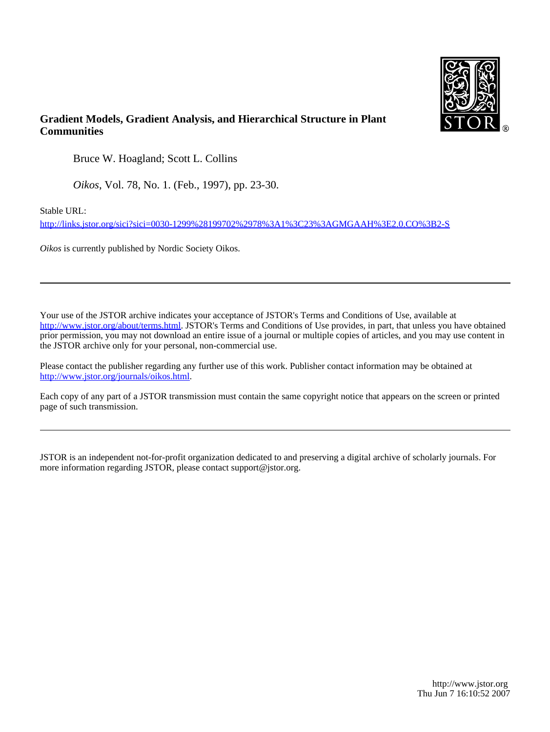

## **Gradient Models, Gradient Analysis, and Hierarchical Structure in Plant Communities**

Bruce W. Hoagland; Scott L. Collins

*Oikos*, Vol. 78, No. 1. (Feb., 1997), pp. 23-30.

Stable URL:

<http://links.jstor.org/sici?sici=0030-1299%28199702%2978%3A1%3C23%3AGMGAAH%3E2.0.CO%3B2-S>

*Oikos* is currently published by Nordic Society Oikos.

Your use of the JSTOR archive indicates your acceptance of JSTOR's Terms and Conditions of Use, available at [http://www.jstor.org/about/terms.html.](http://www.jstor.org/about/terms.html) JSTOR's Terms and Conditions of Use provides, in part, that unless you have obtained prior permission, you may not download an entire issue of a journal or multiple copies of articles, and you may use content in the JSTOR archive only for your personal, non-commercial use.

Please contact the publisher regarding any further use of this work. Publisher contact information may be obtained at <http://www.jstor.org/journals/oikos.html>.

Each copy of any part of a JSTOR transmission must contain the same copyright notice that appears on the screen or printed page of such transmission.

JSTOR is an independent not-for-profit organization dedicated to and preserving a digital archive of scholarly journals. For more information regarding JSTOR, please contact support@jstor.org.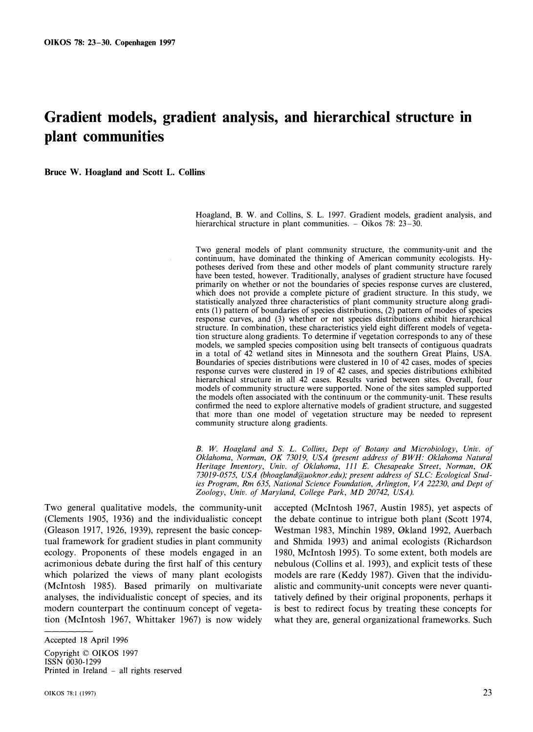# **Gradient models, gradient analysis, and hierarchical structure in plant communities**

**Bruce W. Hoagland and Scott L. Collins** 

Hoagland, B. W. and Collins, S. L. 1997. Gradient models, gradient analysis, and hierarchical structure in plant communities.  $-$  Oikos 78: 23-30.

Two general models of plant community structure, the community-unit and the continuum, have dominated the thinking of American community ecologists. Hypotheses derived from these and other models of plant community structure rarely have been tested, however. Traditionally, analyses of gradient structure have focused primarily on whether or not the boundaries of species response curves are clustered, which does not provide a complete picture of gradient structure. In this study, we statistically analyzed three characteristics of plant community structure along gradients (1) pattern of boundaries of species distributions, (2) pattern of modes of species response curves, and (3) whether or not species distributions exhibit hierarchical structure. In combination, these characteristics yield eight different models of vegetation structure along gradients. To determine if vegetation corresponds to any of these models, we sampled species composition using belt transects of contiguous quadrats in a total of 42 wetland sites in Minnesota and the southern Great Plains, USA. Boundaries of species distributions were clustered in 10 of 42 cases, modes of species response curves were clustered in 19 of 42 cases, and species distributions exhibited hierarchical structure in all 42 cases. Results varied between sites. Overall, four models of community structure were supported. None of the sites sampled supported the models often associated with the continuum or the community-unit. These results confirmed the need to explore alternative models of gradient structure, and suggested that more than one model of vegetation structure may be needed to represent community structure along gradients.

*B. W. Hoagland and S. L. Collins, Dept of' Botany and Microbiology, Unic. of Oklahoma, Norman, OK 73019, USA (present address of BWH: Oklahoma Natural Heritage Inventory, Unit.. of' Oklahoma, 111 E. Chesapeake Street, Norman, OK*  73019-0575, USA (bhoagland@uoknor.edu); present address of SLC: Ecological Stud*ies Program, Rm 635, National Science Foundation, Arlington, VA 22230, and Dept of* Zoology, Univ. of Maryland, College Park, MD 20742, USA).

(Clements 1905, 1936) and the individualistic concept the debate continue to intrigue both plant (Scott 1974, (Gleason 1917, 1926, 1939), represent the basic concep- Westman 1983, Minchin 1989, 0kland 1992, Auerbach tual framework for gradient studies in plant community and Shmida 1993) and animal ecologists (Richardson ecology. Proponents of these models engaged in an 1980. McIntosh 1995). To some extent, both models are acrimonious debate during the first half of this century nebulous (Collins et al. 1993), and explicit tests of these which polarized the views of many plant ecologists models are rare (Keddy 1987). Given that the individu-(McIntosh 1985). Based primarily on multivariate alistic and community-unit concepts were never quantianalyses, the individualistic concept of species, and its tatively defined by their original proponents, perhaps it modern counterpart the continuum concept of vegeta- is best to redirect focus by treating these concepts for tion (McIntosh 1967, Whittaker 1967) is now widely what they are, general organizational frameworks. Such

Copyright © OIKOS 1997 ISSN 0030-1299 Printed in Ireland  $-$  all rights reserved

Two general qualitative models, the community-unit accepted (McIntosh 1967, Austin 1985), yet aspects of

Accepted 18 April 1996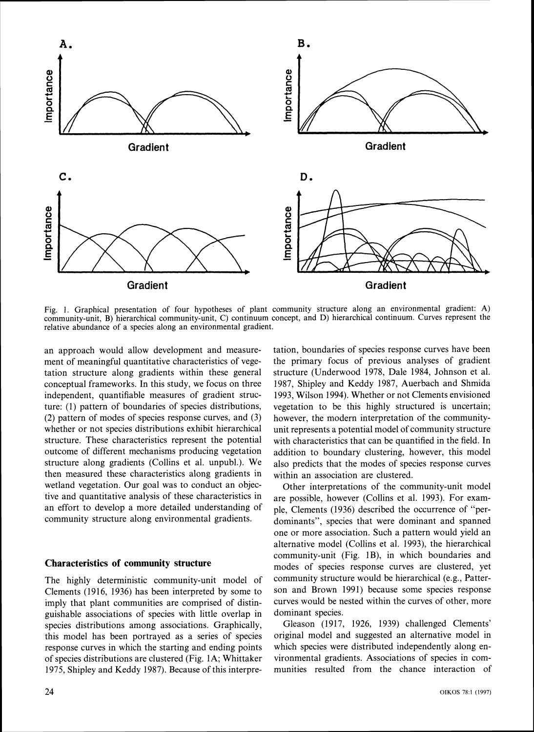

Fig. 1. Graphical presentation of four hypotheses of plant community structure along an environmental gradient: A) community-unit, B) hierarchical community-unit, C) continuum concept, and D) hierarchical continuum. Curves represent the relative abundance of a species along an environmental gradient.

an approach would allow development and measurement of meaningful quantitative characteristics of vegetation structure along gradients within these general conceptual frameworks. In this study, we focus on three independent, quantifiable measures of gradient structure: (1) pattern of boundaries of species distributions, (2) pattern of modes of species response curves, and (3) whether or not species distributions exhibit hierarchical structure. These characteristics represent the potential outcome of different mechanisms producing vegetation structure along gradients (Collins et al. unpubl.). We then measured these characteristics along gradients in wetland vegetation. Our goal was to conduct an objective and quantitative analysis of these characteristics in an effort to develop a more detailed understanding of community structure along environmental gradients.

#### **Characteristics of community structure**

The highly deterministic community-unit model of Clements (1916, 1936) has been interpreted by some to imply that plant communities are comprised of distinguishable associations of species with little overlap in species distributions among associations. Graphically, this model has been portrayed as a series of species response curves in which the starting and ending points of species distributions are clustered (Fig. 1A; Whittaker 1975, Shipley and Keddy 1987). Because of this interpre-

24

tation, boundaries of species response curves have been the primary focus of previous analyses of gradient structure (Underwood 1978, Dale 1984, Johnson et al. 1987, Shipley and Keddy 1987, Auerbach and Shmida 1993, Wilson 1994). Whether or not Clements envisioned vegetation to be this highly structured is uncertain; however, the modern interpretation of the communityunit represents a potential model of community structure with characteristics that can be quantified in the field. In addition to boundary clustering, however, this model also predicts that the modes of species response curves within an association are clustered.

Other interpretations of the community-unit model are possible, however (Collins et al. 1993). For example, Clements (1936) described the occurrence of "perdominants", species that were dominant and spanned one or more association. Such a pattern would yield an alternative model (Collins et al. 1993), the hierarchical community-unit (Fig. lB), in which boundaries and modes of species response curves are clustered, yet community structure would be hierarchical (e.g.. Patterson and Brown 1991) because some species response curves would be nested within the curves of other, more dominant species.

Gleason (1917, 1926, 1939) challenged Clements' original model and suggested an alternative model in which species were distributed independently along environmental gradients. Associations of species in communities resulted from the chance interaction of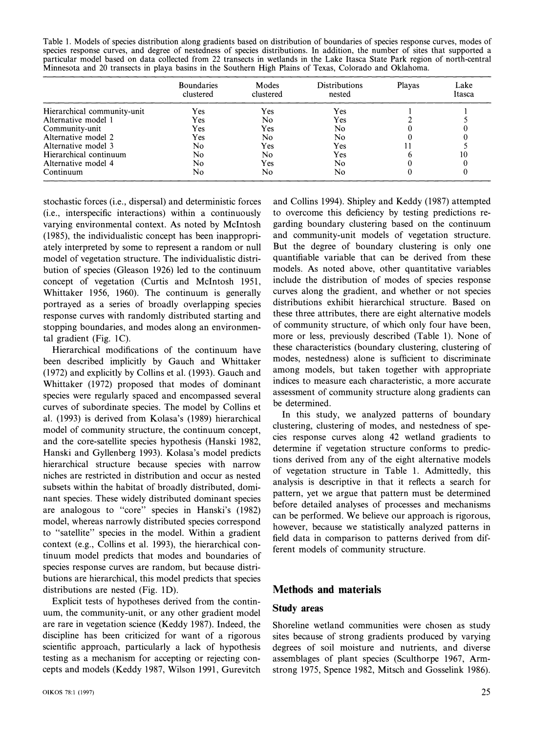Table 1. Models of species distribution along gradients based on distribution of boundaries of species response curves, modes of species response curves, and degree of nestedness of species distributions. In addition, the particular model based on data collected from 22 transects in wetlands in the Lake Itasca State Park region of north-central Minnesota and 20 transects in playa basins in the Southern High Plains of Texas, Colorado and Oklahoma.

|                             | <b>Boundaries</b><br>clustered | Modes<br>clustered | <b>Distributions</b><br>nested | Playas | Lake<br>Itasca |
|-----------------------------|--------------------------------|--------------------|--------------------------------|--------|----------------|
| Hierarchical community-unit | Yes                            | Yes                | Yes                            |        |                |
| Alternative model 1         | Yes                            | No                 | Yes                            |        |                |
| Community-unit              | Yes                            | Yes                | No.                            |        |                |
| Alternative model 2         | Yes                            | No                 | No                             |        |                |
| Alternative model 3         | No                             | Yes                | Yes                            |        |                |
| Hierarchical continuum      | No                             | No                 | Yes                            |        | 10             |
| Alternative model 4         | No                             | Yes                | No                             |        |                |
| Continuum                   | No                             | No                 | No                             |        |                |

stochastic forces (i.e., dispersal) and deterministic forces and Collins 1994). Shipley and Keddy (1987) attempted (i.e., interspecific interactions) within a continuously to overcome this deficiency by testing predictions revarying environmental context. As noted by McIntosh garding boundary clustering based on the continuum (1985), the individualistic concept has been inappropri- and community-unit models of vegetation structure. ately interpreted by some to represent a random or null But the degree of boundary clustering is only one model of vegetation structure. The individualistic distri- quantifiable variable that can be derived from these bution of species (Gleason 1926) led to the continuum models. As noted above, other quantitative variables concept of vegetation (Curtis and McIntosh 1951, include the distribution of modes of species response<br>Whittaker 1956, 1960). The continuum is generally curves along the gradient, and whether or not species Whittaker 1956, 1960). The continuum is generally portrayed as a series of broadly overlapping species distributions exhibit hierarchical structure. Based on response curves with randomly distributed starting and these three attributes, there are eight alternative models response curves with randomly distributed starting and these three attributes, there are eight alternative models<br>stopping boundaries, and modes along an environmen-<br>of community structure, of which only four have been, stopping boundaries, and modes along an environmen-

been described implicitly by Gauch and Whittaker modes, nestedness) alone is sufficient to discriminate<br>(1972) and explicitly by Collins et al. (1993) Gauch and among models, but taken together with appropriate (1972) and explicitly by Collins et al. (1993). Gauch and among models, but taken together with appropriate<br>Whittaker (1972) proposed that modes of dominant indices to measure each characteristic, a more accurate Whittaker (1972) proposed that modes of dominant indices to measure each characteristic, a more accurate<br>species were regularly spaced and encompassed several assessment of community structure along gradients can species were regularly spaced and encompassed several assessment of community structure along gradients can be determined. curves of subordinate species. The model by Collins et be determined.<br>al. (1993) is derived from Kolasa's (1989) biographical In this study, we analyzed patterns of boundary al. (1993) is derived from Kolasa's (1989) hierarchical In this study, we analyzed patterns of boundary<br>model of community structure, the continuum concent clustering, clustering of modes, and nestedness of spemodel of community structure, the continuum concept, and the core-satellite species hypothesis (Hanski 1982, cies response curves along 42 wetland gradients to and the core-satellite species hypothesis (Hanski 1982, cies response curves along 42 wetland gradients to predic-<br> Hanski and Gyllenberg 1993). Kolasa's model predicts determine if vegetation structure conforms to predic-<br>higrarchical structure, because enories with names. hierarchical structure because species with narrow tions derived from any of the eight alternative models niches are restricted in distribution and occur as nested analysis is descriptive in that it reflects a search for subsets within the habitat of broadly distributed, domi-<br>pattern, yet we argue that pattern must be determined nant species. These widely distributed dominant species pattern, yet we argue that pattern must be determined<br>before detailed analyses of processes and mechanisms are analogous to "core" species in Hanski's (1982) corone detailed analyses of processes and mechanisms<br>can be performed. We believe our approach is rigorous, model, whereas narrowly distributed species correspond<br>to "satellite" species in the model. Within a gradient<br> $\frac{1}{2}$  however, because we statistically analyzed patterns in context (e.g., Collins et al. 1993). the hierarchical con- ferent models of community structure. tinuum model predicts that modes and boundaries of species response curves are random, but because distributions are hierarchical. this model predicts that species distributions are nested (Fig. 1D). **Methods and materials** 

Explicit tests of hypotheses derived from the continuum, the community-unit, or any other gradient model **Study areas**  are rare in vegetation science (Keddy 1987). Indeed, the Shoreline wetland communities were chosen as study discipline has been criticized for want of a rigorous sites because of strong gradients produced by varying scientific approach, particularly a lack of hypothesis degrees of soil moisture and nutrients, and diverse testing as a mechanism for accepting or rejecting con- assemblages of plant species (Sculthorpe 1967, Armcepts and models (Keddy 1987. Wilson 1991, Gurevitch strong 1975, Spence 1982, Mitsch and Gosselink 1986).

tal gradient (Fig. 1C).<br>
Hierarchical modifications of the continuum have these characteristics (boundary clustering, clustering of<br>
Hierarchical modifications of the continuum have these characteristics (boundary clusteri Hierarchical modifications of the continuum have these characteristics (boundary clustering, clustering of the continuum have these characteristics (boundary clustering, clustering of the characteristics (boundary clusteri

field data in comparison to patterns derived from dif-

degrees of soil moisture and nutrients, and diverse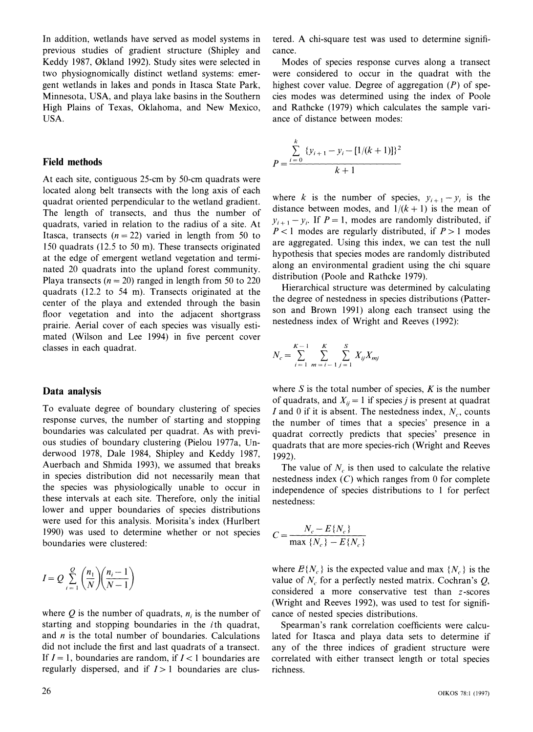In addition. wetlands have served as model systems in previous studies of gradient structure (Shipley and Keddy 1987, 0kland 1992). Study sites were selected in two physiognomically distinct wetland systems: emergent wetlands in lakes and ponds in Itasca State Park, Minnesota, USA, and playa lake basins in the Southern High Plains of Texas. Oklahoma, and New Mexico, USA.

### **Field methods**

At each site, contiguous 25-cm by 50-cm quadrats were located along belt transects with the long axis of each quadrat oriented perpendicular to the wetland gradient. The length of transects, and thus the number of quadrats, varied in relation to the radius of a site. At Itasca, transects  $(n = 22)$  varied in length from 50 to 150 quadrats (12.5 to 50 m). These transects originated at the edge of emergent wetland vegetation and terminated 20 quadrats into the upland forest community. Playa transects ( $n = 20$ ) ranged in length from 50 to 220 quadrats (12.2 to 54 m). Transects originated at the center of the playa and extended through the basin floor vegetation and into the adjacent shortgrass prairie. Aerial cover of each species was visually estimated (Wilson and Lee 1994) in five percent cover classes in each quadrat.

#### **Data analysis**

To evaluate degree of boundary clustering of species response curves, the number of starting and stopping boundaries was calculated per quadrat. As with previous studies of boundary clustering (Pielou 1977a, Underwood 1978, Dale 1984, Shipley and Keddy 1987, Auerbach and Shmida 1993), we assumed that breaks in species distribution did not necessarily mean that the species was physiologically unable to occur in these intervals at each site. Therefore, only the initial lower and upper boundaries of species distributions were used for this analysis. Morisita's index (Hurlbert 1990) was used to determine whether or not species boundaries were clustered:

$$
I = Q \sum_{i=1}^{Q} {n_1 \choose N} {n_i - 1 \choose N - 1}
$$

where  $Q$  is the number of quadrats,  $n_i$  is the number of starting and stopping boundaries in the ith quadrat, and  $n$  is the total number of boundaries. Calculations did not include the first and last quadrats of a transect. If  $I = 1$ , boundaries are random, if  $I < 1$  boundaries are regularly dispersed, and if *I>* 1 boundaries are clustered. A chi-square test was used to determine significance.

Modes of species response curves along a transect were considered to occur in the quadrat with the highest cover value. Degree of aggregation  $(P)$  of species modes was determined using the Index of Poole and Rathcke (1979) which calculates the sample variance of distance between modes:

$$
P = \frac{\sum_{i=0}^{k} \{y_{i+1} - y_i - [1/(k+1)]\}^2}{k+1}
$$

where k is the number of species,  $y_{i+1} - y_i$  is the distance between modes, and  $1/(k + 1)$  is the mean of  $y_{i+1} - y_i$ . If  $P = 1$ , modes are randomly distributed, if  $P < 1$  modes are regularly distributed, if  $P > 1$  modes are aggregated. Using this index, we can test the null hypothesis that species modes are randomly distributed along an environmental gradient using the chi square distribution (Poole and Rathcke 1979).

Hierarchical structure was determined by calculating the degree of nestedness in species distributions (Patterson and Brown 1991) along each transect using the nestedness index of Wright and Reeves (1992):

$$
N_c = \sum_{i=1}^{K-1} \sum_{m=i-1}^{K} \sum_{j=1}^{S} X_{ij} X_{mj}
$$

where  $S$  is the total number of species,  $K$  is the number of quadrats, and  $X_{ii} = 1$  if species *j* is present at quadrat I and 0 if it is absent. The nestedness index,  $N_c$ , counts the number of times that a species' presence in a quadrat correctly predicts that species' presence in quadrats that are more species-rich (Wright and Reeves 1992).

The value of  $N_c$  is then used to calculate the relative nestedness index  $(C)$  which ranges from 0 for complete independence of species distributions to 1 for perfect nestedness:

$$
C = \frac{N_c - E\{N_c\}}{\max\{N_c\} - E\{N_c\}}
$$

where  $E\{N_c\}$  is the expected value and max  $\{N_c\}$  is the value of  $N_c$  for a perfectly nested matrix. Cochran's  $Q$ , considered a more conservative test than  $z$ -scores (Wright and Reeves 1992), was used to test for significance of nested species distributions.

Spearman's rank correlation coefficients were calculated for Itasca and playa data sets to determine if any of the three indices of gradient structure were correlated with either transect length or total species richness.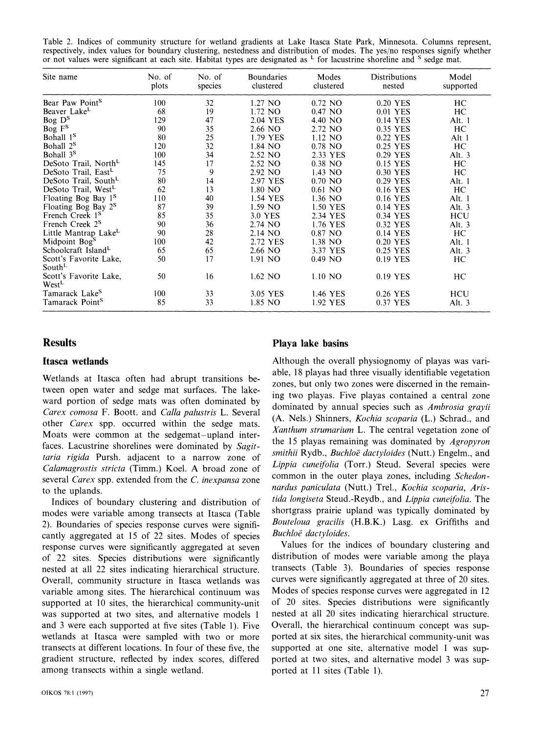Table 2. Indices of community structure for wetland gradients at Lake Itasca State Park, Minnesota. Columns represent, respectively, index values for boundary clustering, nestedness and distribution of modes. The yes/no re or not values were significant at each site. Habitat types are designated as  $L$  for lacustrine shoreline and  $S$  sedge mat.

| Site name                                    | No. of<br>plots | No. of<br>species | <b>Boundaries</b><br>clustered | Modes<br>clustered | Distributions<br>nested | Model<br>supported |
|----------------------------------------------|-----------------|-------------------|--------------------------------|--------------------|-------------------------|--------------------|
| Bear Paw Point <sup>S</sup>                  | 100             | 32                | 1.27 NO                        | $0.72$ NO          | 0.20 YES                | HC                 |
| Beaver Lake <sup>L</sup>                     | 68              | 19                | 1.72 NO                        | 0.47 NO            | 0.01 YES                | HC                 |
| Bog D <sup>S</sup>                           | 129             | 47                | 2.04 YES                       | 4.40 NO            | 0.14 YES                | Alt. 1             |
| Bog F <sup>S</sup>                           | 90              | 35                | 2.66 NO                        | 2.72 NO            | 0.35 YES                | HC                 |
| Bohall 1 <sup>S</sup>                        | 80              | 25                | 1.79 YES                       | 1.12 NO            | 0.22 YES                | Alt 1              |
| Bohall 2 <sup>S</sup>                        | 120             | 32                | 1.84 NO                        | $0.78$ NO          | 0.25 YES                | HC                 |
| Bohall 3 <sup>S</sup>                        | 100             | 34                | 2.52 NO                        | 2.33 YES           | 0.29 YES                | Alt. $3$           |
| DeSoto Trail, North                          | 145             | 17                | 2.52 NO                        | 0.38 NO            | 0.15 YES                | HC                 |
| DeSoto Trail, East <sup>L</sup>              | 75              | 9                 | 2.92 NO                        | 1.43 NO            | 0.30 YES                | HC                 |
| DeSoto Trail, South <sup>L</sup>             | 80              | 14                | 2.97 YES                       | $0.70$ NO          | 0.29 YES                | Alt. 1             |
| DeSoto Trail, West <sup>L</sup>              | 62              | 13                | 1.80 NO                        | $0.61$ NO          | 0.16 YES                | HC                 |
| Floating Bog Bay 1 <sup>S</sup>              | 110             | 40                | 1.54 YES                       | 1.36 NO            | 0.16 YES                | Alt. 1             |
| Floating Bog Bay 2 <sup>S</sup>              | 87              | 39                | 1.59 NO                        | 1.50 YES           | 0.14 YES                | Alt. $3$           |
| French Creek 1 <sup>S</sup>                  | 85              | 35                | 3.0 YES                        | 2.34 YES           | 0.34 YES                | HCU                |
| French Creek 2 <sup>S</sup>                  | 90              | 36                | 2.74 NO                        | 1.76 YES           | 0.32 YES                | Alt. $3$           |
| Little Mantrap Lake <sup>L</sup>             | 90              | 28                | 2.14 NO                        | 0.87 NO            | 0.14 YES                | HС                 |
| Midpoint Bog <sup>S</sup>                    | 100             | 42                | 2.72 YES                       | 1.38 NO            | 0.20 YES                | Alt. 1             |
| Schoolcraft Island <sup>L</sup>              | 65              | 65                | 2.66 NO                        | 3.37 YES           | 0.25 YES                | Alt. 3             |
| Scott's Favorite Lake,<br>South <sup>L</sup> | 50              | 17                | 1.91 NO                        | $0.49$ NO          | 0.19 YES                | HC.                |
| Scott's Favorite Lake.<br>West <sup>L</sup>  | 50              | 16                | 1.62 NO                        | $1.10$ NO          | 0.19 YES                | HC                 |
| Tamarack Lake <sup>S</sup>                   | 100             | 33                | 3.05 YES                       | 1.46 YES           | 0.26 YES                | HCU                |
| Tamarack Point <sup>S</sup>                  | 85              | 33                | 1.85 NO                        | 1.92 YES           | 0.37 YES                | Alt. $3$           |

tween open water and sedge mat surfaces. The lake-<br>ward portion of sedge mats was often dominated by a surface of the playas contained a central zone *Carex corrosa* F. Boott. and *Calla palustris* L. Several dominated by annual species such as *Ambrosia grayii Carex corrosa* F. Boott. and *Calla palustris* L. Several (A. Nels.) Shinners, *Kochia scoparia* (L.) Schrad other *Carex* spp. occurred within the sedge mats. (A. Nels.) Shinners, *Kochia scoparia* (L.) Schrad., and Mosts were common at the sedgement unlead integral. Moats were common at the sedgemat-upland inter-<br>fogge Legyeting sharelings ware dominated by *Sanit* the 15 playas remaining was dominated by *Agropyron* faces. Lacustrine shorelines were dominated by *Sugit-* the 15 playas remaining was dominated by *Agropyron taria rigida* Pursh. adjacent to a narrow zone of *Calamagrostis stricta* (Timm.) Koel. *A* broad zone of *Lippia cuneifolia* (Torr.) Steud. Several species were calamagrostis stricta (Timm.) Koel. *A* broad zone of *Lippia cuneifolia* (Torr.) Steud. Several species were several *Carex* spp. extended from the *C. inexpansa* zone

modes were variable among transects at Itasca (Table shortgrass prairie upland was typically dominated by<br>2) Boundaries of species response curves were signifi- Bouteloua gracilis (H.B.K.) Lasg. ex Griffiths and 2). Boundaries of species response curves were signifi-<br>cantly aggregated at 15 of 22 sites. Modes of species. Buchloë dactyloides. cantly aggregated at 15 of 22 sites. Modes of species *Buchloë dactyloides*.<br>
response curves were significantly aggregated at seven Values for the indices of boundary clustering and response curves were significantly aggregated at seven Values for the indices of boundary clustering and<br>of 22 sites. Species distributions were significantly distribution of modes were variable among the playa of 22 sites. Species distributions were significantly nested at all 22 sites indicating hierarchical structure. transects (Table 3). Boundaries of species response<br>Overall, community structure in Itasca wetlands was curves were significantly aggregated at three of 20 sites. Overall, community structure in Itasca wetlands was variable among sites. The hierarchical continuum was Modes of species response curves were aggregated in 12 supported at 10 sites, the hierarchical community-unit of 20 sites. Species distributions were significantly was supported at two sites, and alternative models 1 nested at all 20 sites indicating hierarchical structure. and 3 were each supported at five sites (Table I). Five Overall. the hierarchical continuum concept was supwetlands at Itasca were sampled with two or more ported at six sites. the hierarchical community-unit was transects at different locations. In four of these five, the supported at one site. alternative model I was supgradient structure, reflected by index scores. differed ported at two sites, and alternative model 3 was supamong transects within a single wetland. ported at 11 sites (Table 1).

### **Results Playa lake basins**

**Itasca wetlands Although the overall physiognomy of playas was vari**able. 18 playas had three visually identifiable vegetation Wetlands at Itasca often had abrupt transitions bezones, but only two zones were discerned in the remainto the uplands.<br>Indices of boundary clustering and distribution of *tida longiseta* Steud.-Reydb., and *Lippia cuneifolia*. The<br>Indices of boundary clustering and distribution of *tida longiseta* Steud.-Reydb., and *Lippia* Indices of boundary clustering and distribution of *tida longiseta* Steud.-Reydb., and *Lippia cuneifolia.* The<br>odes were variable among transects at Itasca (Table shortgrass prairie upland was typically dominated by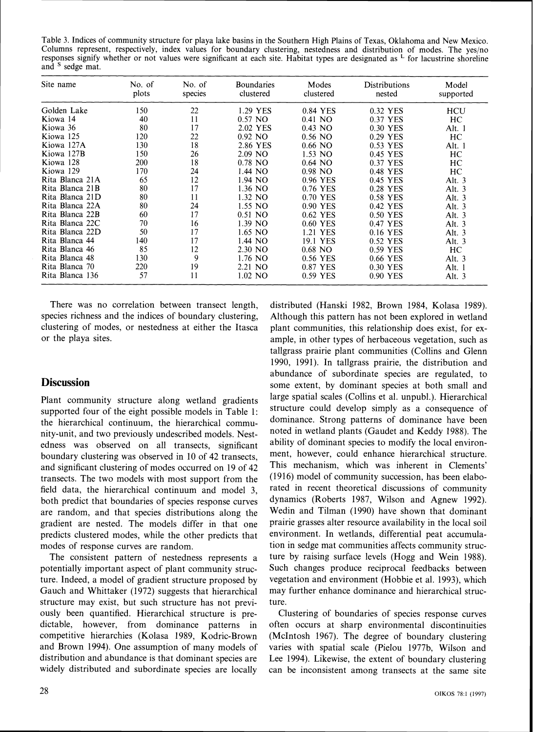Table 3. Indices of community structure for playa lake basins in the Southern High Plains of Texas, Oklahoma and New Mexico. Columns represent, respectively, index values for boundary clustering, nestedness and distribution of modes. The yes/no responses signify whether or not values were significant at each site. Habitat types are designated as  $\frac{1}{2}$  for lacustrine shoreline and <sup>S</sup> sedge mat.

| Site name       | No. of<br>plots | No. of<br>species | <b>Boundaries</b><br>clustered | Modes<br>clustered | <b>Distributions</b><br>nested | Model<br>supported |
|-----------------|-----------------|-------------------|--------------------------------|--------------------|--------------------------------|--------------------|
| Golden Lake     | 150             | 22                | 1.29 YES                       | 0.84 YES           | 0.32 YES                       | HCU                |
| Kiowa 14        | 40              | 11                | $0.57$ NO                      | 0.41 NO            | 0.37 YES                       | HC                 |
| Kiowa 36        | 80              | 17                | 2.02 YES                       | $0.43$ NO          | 0.30 YES                       | Alt. 1             |
| Kiowa 125       | 120             | 22                | $0.92$ NO                      | $0.56$ NO          | 0.29 YES                       | HC                 |
| Kiowa 127A      | 130             | 18                | 2.86 YES                       | $0.66$ NO          | 0.53 YES                       | Alt. 1             |
| Kiowa 127B      | 150             | 26                | $2.09$ NO                      | $1.53$ NO          | 0.45 YES                       | HC                 |
| Kiowa 128       | 200             | 18                | $0.78$ NO                      | $0.64$ NO          | 0.37 YES                       | HC                 |
| Kiowa 129       | 170             | 24                | 1.44 NO                        | $0.98$ NO          | 0.48 YES                       | HC                 |
| Rita Blanca 21A | 65              | 12                | 1.94 NO                        | 0.96 YES           | 0.45 YES                       | Alt. $3$           |
| Rita Blanca 21B | 80              | 17                | 1.36 NO                        | 0.76 YES           | 0.28 YES                       | Alt. $3$           |
| Rita Blanca 21D | 80              | 11                | 1.32 NO                        | 0.70 YES           | 0.58 YES                       | Alt. $3$           |
| Rita Blanca 22A | 80              | 24                | 1.55 NO                        | 0.90 YES           | 0.42 YES                       | Alt. $3$           |
| Rita Blanca 22B | 60              | 17                | $0.51$ NO                      | 0.62 YES           | 0.50 YES                       | Alt. $3$           |
| Rita Blanca 22C | 70              | 16                | $1.39$ NO                      | 0.60 YES           | 0.47 YES                       | Alt. $3$           |
| Rita Blanca 22D | 50              | 17                | 1.65 NO                        | 1.21 YES           | 0.16 YES                       | Alt. $3$           |
| Rita Blanca 44  | 140             | 17                | 1.44 NO                        | 19.1 YES           | 0.52 YES                       | Alt. $3$           |
| Rita Blanca 46  | 85              | 12                | 2.30 NO                        | $0.68$ NO          | 0.59 YES                       | HC                 |
| Rita Blanca 48  | 130             | 9                 | $1.76$ NO                      | 0.56 YES           | 0.66 YES                       | Alt. $3$           |
| Rita Blanca 70  | 220             | 19                | $2.21$ NO                      | 0.87 YES           | 0.30 YES                       | Alt. 1             |
| Rita Blanca 136 | 57              | 11                | $1.02$ NO                      | 0.59 YES           | 0.90 YES                       | Alt. $3$           |

There was no correlation between transect length. species richness and the indices of boundary clustering, clustering of modes, or nestedness at either the Itasca or the playa sites.

### **Discussion**

Plant community structure along wetland gradients supported four of the eight possible models in Table 1: the hierarchical continuum, the hierarchical community-unit, and two previously undescribed models. Nestedness was observed on all transects, significant boundary clustering was observed in 10 of 42 transects, and significant clustering of modes occurred on 19 of 42 transects. The two models with most support from the field data, the hierarchical continuum and model 3, both predict that boundaries of species response curves are random, and that species distributions along the gradient are nested. The models differ in that one predicts clustered modes, while the other predicts that modes of response curves are random.

The consistent pattern of nestedness represents a potentially important aspect of plant community structure. Indeed, a model of gradient structure proposed by Gauch and Whittaker (1972) suggests that hierarchical structure may exist. but such structure has not previously been quantified. Hierarchical structure is predictable, however, from dominance patterns in competitive hierarchies (Kolasa 1989, Kodric-Brown and Brown 1994). One assumption of many models of distribution and abundance is that dominant species are widely distributed and subordinate species are locally

distributed (Hanski 1982, Brown 1984, Kolasa 1989). Although this pattern has not been explored in wetland plant communities, this relationship does exist, for example, in other types of herbaceous vegetation, such as tallgrass prairie plant communities (Collins and Glenn 1990, 1991). In tallgrass prairie, the distribution and abundance of subordinate species are regulated, to some extent. by dominant species at both small and large spatial scales (Collins et al. unpubl.). Hierarchical structure could develop simply as a consequence of dominance. Strong patterns of dominance have been noted in wetland plants (Gaudet and Keddy 1988). The ability of dominant species to modify the local environment, however, could enhance hierarchical structure. This mechanism. which was inherent in Clements' (1916) model of community succession, has been elaborated in recent theoretical discussions of community dynamics (Roberts 1987, Wilson and Agnew 1992). Wedin and Tilman (1990) have shown that dominant prairie grasses alter resource availability in the local soil environment. In wetlands, differential peat accumulation in sedge mat communities affects community structure by raising surface levels (Hogg and Wein 1988). Such changes produce reciprocal feedbacks between vegetation and environment (Hobbie et al. 1993), which may further enhance dominance and hierarchical structure.

Clustering of boundaries of species response curves often occurs at sharp environmental discontinuities (McIntosh 1967). The degree of boundary clustering varies with spatial scale (Pielou 1977b, Wilson and Lee 1994). Likewise, the extent of boundary clustering can be inconsistent among transects at the same site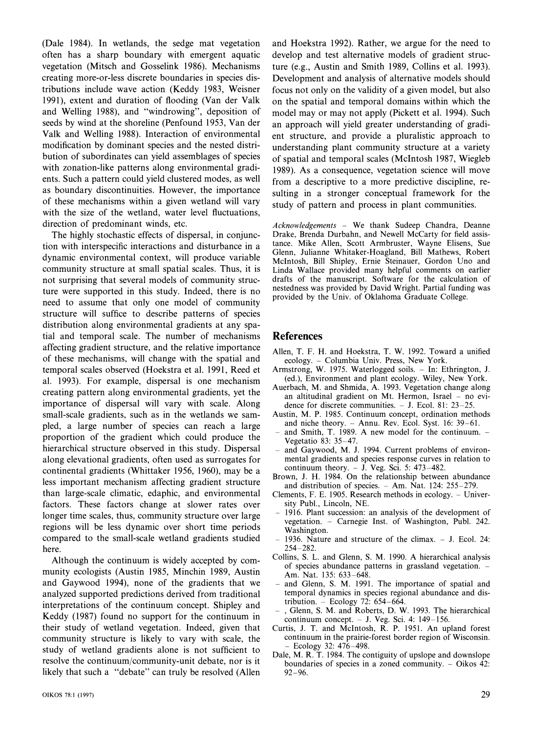(Dale 1984). In wetlands, the sedge mat vegetation often has a sharp boundary with emergent aquatic vegetation (Mitsch and Gosselink 1986). Mechanisms creating more-or-less discrete boundaries in species distributions include wave action (Keddy 1983, Weisner 1991), extent and duration of flooding (Van der Valk and Welling 1988), and "windrowing", deposition of seeds by wind at the shoreline (Penfound 1953, Van der Valk and Welling 1988). Interaction of environmental modification by dominant species and the nested distribution of subordinates can yield assemblages of species with zonation-like patterns along environmental gradients. Such a pattern could yield clustered modes, as well as boundary discontinuities. However, the importance of these mechanisms within a given wetland will vary with the size of the wetland, water level fluctuations, direction of predominant winds, etc.

The highly stochastic effects of dispersal, in conjunction with interspecific interactions and disturbance in a dynamic environmental context, will produce variable community structure at small spatial scales. Thus, it is not surprising that several models of community structure were supported in this study. Indeed, there is no need to assume that only one model of community structure will suffice to describe patterns of species distribution along environmental gradients at any spatial and temporal scale. The number of mechanisms affecting gradient structure, and the relative importance of these mechanisms, will change with the spatial and temporal scales observed (Hoekstra et al. 1991, Reed et al. 1993). For example, dispersal is one mechanism creating pattern along environmental gradients, yet the importance of dispersal will vary with scale. Along small-scale gradients, such as in the wetlands we sampled, a large number of species can reach a large proportion of the gradient which could produce the hierarchical structure observed in this study. Dispersal along elevational gradients, often used as surrogates for continental gradients (Whittaker 1956, 1960), may be a less important mechanism affecting gradient structure than large-scale climatic, edaphic, and environmental factors. These factors change at slower rates over longer time scales, thus, community structure over large regions will be less dynamic over short time periods compared to the small-scale wetland gradients studied here.

Although the continuum is widely accepted by community ecologists (Austin 1985, Minchin 1989, Austin and Gaywood 1994), none of the gradients that we analyzed supported predictions derived from traditional interpretations of the continuum concept. Shipley and Keddy (1987) found no support for the continuum in their study of wetland vegetation. Indeed, given that community structure is likely to vary with scale, the study of wetland gradients alone is not sufficient to resolve the continuum/community-unit debate, nor is it likely that such a "debate" can truly be resolved (Allen develop and test alternative models of gradient structure (e.g., Austin and Smith 1989, Collins et al. 1993). Development and analysis of alternative models should focus not only on the validity of a given model, but also on the spatial and temporal domains within which the model may or may not apply (Pickett et al. 1994). Such an approach will yield greater understanding of gradient structure, and provide a pluralistic approach to understanding plant community structure at a variety of spatial and temporal scales (McIntosh 1987, Wiegleb 1989). As a consequence, vegetation science will move from a descriptive to a more predictive discipline, resulting in a stronger conceptual framework for the study of pattern and process in plant communities.

and Hoekstra 1992). Rather, we argue for the need to

*Acknowledgen~ents* - We thank Sudeep Chandra, Deanne Drake, Brenda Durbahn. and Newel1 McCarty for field assistance. Mike Allen, Scott Armbruster. Wayne Elisens, Sue Glenn, Julianne Whitaker-Hoagland, Bill Mathews, Robert McIntosh, Bill Shipley, Ernie Steinauer. Gordon Uno and Linda Wallace provided many helpful comments on earlier drafts of the manuscript. Software for the calculation of nestedness was provided by David Wright. Partial funding was provided by the Univ. of Oklahoma Graduate College.

### **References**

- Allen, T. F. H. and Hoekstra, T. W. 1992. Toward a unified ecology. - Columbia Univ. Press, New York.
- Armstrong, W. 1975. Waterlogged soils. In: Ethrington, J. (ed.), Environment and plant ecology. Wiley, New York.
- Auerbach, M. and Shmida, A. 1993. Vegetation change along an altitudinal gradient on Mt. Hermon, Israel - no evidence for discrete communities.  $-$  J. Ecol. 81: 23–25.
- Austin. M. P. 1985. Continuum concept, ordination methods and niche theory.  $-$  Annu. Rev. Ecol. Syst. 16: 39-61.
- $-$  and Smith, T. 1989. A new model for the continuum.  $-$ Vegetatio 83: 35-47.
- and Gaywood, M. J. 1994. Current problems of environmental gradients and species response curves in relation to continuum theory.  $-$  J. Veg. Sci. 5: 473-482.
- Brown, J. H. 1984. On the relationship between abundance and distribution of species.  $-$  Am. Nat. 124: 255 $-279$ .
- Clements, F. E. 1905. Research methods in ecology. Univer-
- 1916. Plant succession: an analysis of the development of vegetation. - Carnegie Inst. of Washington. Publ. 242. Washington.
- 1936. Nature and structure of the climax.  $-$  J. Ecol. 24: 254-282.
- Collins. S. L. and Glenn, S. M. 1990. A hierarchical analvsis of species abundance patterns in grassland vegetation. -Am. Nat. 135: 633-648.
- and Glenn, S. M. 1991. The importance of spatial and temporal dynamics in species regional abundance and distribution.  $-$  Ecology 72: 654–664.
- , Glenn, S. M. and Roberts, D. W. 1993. The hierarchical continuum concept.  $-$  J. Veg. Sci. 4: 149 $-156$ .
- Curtis, J. T. and McIntosh, R. P. 1951. An upland forest continuum in the prairie-forest border region of Wisconsin. -Ecology 32: 476-498.
- Dale, M. R. T. 1984. The contiguity of upslope and downslope boundaries of species in a zoned community.  $-$  Oikos 42: 92-96.